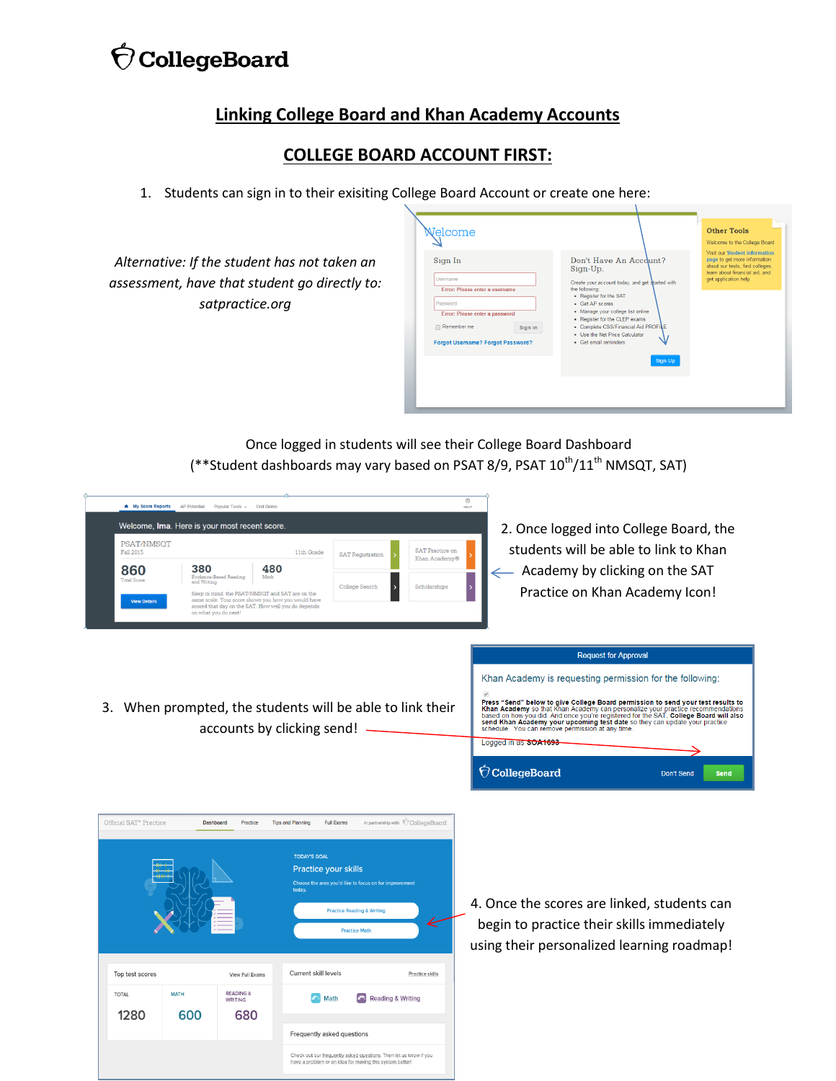# $\acute{\nabla}$ CollegeBoard

## **Linking College Board and Khan Academy Accounts**

## **COLLEGE BOARD ACCOUNT FIRST:**

1. Students can sign in to their exisiting College Board Account or create one here:

*Alternative: If the student has not taken an assessment, have that student go directly to: satpractice.org*

|                                                                                                                                                                           |                                                                                                                                                                                                                                                                                                                                          | Welcome to the College Board                                                                                                                                |
|---------------------------------------------------------------------------------------------------------------------------------------------------------------------------|------------------------------------------------------------------------------------------------------------------------------------------------------------------------------------------------------------------------------------------------------------------------------------------------------------------------------------------|-------------------------------------------------------------------------------------------------------------------------------------------------------------|
| Sign In<br>Username<br>Error: Please enter a username<br>Password<br>Error: Please enter a password<br>Remember me<br>Sign in<br><b>Forgot Username? Forgot Password?</b> | Don't Have An Account?<br>Sign-Up.<br>Create your account today, and get started with<br>the following:<br>• Register for the SAT<br>· Get AP scores<br>· Manage your college list online<br>• Register for the CLEP exams<br>• Complete CSS/Financial Aid PROFILE<br>. Use the Net Price Calculator<br>· Get email reminders<br>Sign Up | Visit our Student information<br>page to get more information<br>about our tests, find colleges,<br>learn about financial aid, and<br>get application help. |

Once logged in students will see their College Board Dashboard (\*\*Student dashboards may vary based on PSAT 8/9, PSAT  $10^{th}/11^{th}$  NMSQT, SAT)

| A My Score Reports<br>PSAT/NMSOT<br><b>Fall 2015</b><br>860<br><b>Total Score</b><br><b>View Details</b> | <b>AP Potential</b><br>380<br>and Writing | Popular Tools v<br><b>End Demo</b><br>Welcome, Ima. Here is your most recent score.<br>480<br>Evidence-Based Reading<br>Math<br>Keep in mind, the PSAT/NMSOT and SAT are on the<br>same scale. Your score shows you how you would have<br>scored that day on the SAT. How well you do depends<br>on what you do next! | 11th Grade                                                                                                       | <b>SAT Registration</b><br>College Search                                                                                                                                    | <b>SAT Practice on</b><br>Khan Academy®<br>Scholarships   | $^{\circ}$<br>HELP<br>2. Once logged into College Board, the<br>students will be able to link to Khan<br>Academy by clicking on the SAT<br>Practice on Khan Academy Icon!                                                                                                                                                                                                                                                                                                                                                                             |
|----------------------------------------------------------------------------------------------------------|-------------------------------------------|-----------------------------------------------------------------------------------------------------------------------------------------------------------------------------------------------------------------------------------------------------------------------------------------------------------------------|------------------------------------------------------------------------------------------------------------------|------------------------------------------------------------------------------------------------------------------------------------------------------------------------------|-----------------------------------------------------------|-------------------------------------------------------------------------------------------------------------------------------------------------------------------------------------------------------------------------------------------------------------------------------------------------------------------------------------------------------------------------------------------------------------------------------------------------------------------------------------------------------------------------------------------------------|
|                                                                                                          |                                           | accounts by clicking send!                                                                                                                                                                                                                                                                                            |                                                                                                                  |                                                                                                                                                                              | 3. When prompted, the students will be able to link their | <b>Request for Approval</b><br>Khan Academy is requesting permission for the following:<br>Press "Send" below to give College Board permission to send your test results to<br>First Academy so that Khan Academy can personalize your practice recommendations<br>Rhan Academy so that Khan Academy can personalize your practice recommendations<br>based on how you did. And once your eregistered for the SAT,<br>schedule. You can remove permission at any time.<br>Logged in as SOA1693-<br>O CollegeBoard<br><b>Don't Send</b><br><b>Send</b> |
| Official SAT <sup>®</sup> Practice<br>Top test scores<br><b>TOTAL</b>                                    | <b>MATH</b>                               | Dashboard<br>Practice<br>View Full Exams<br><b>READING &amp;</b><br><b>WRITING</b>                                                                                                                                                                                                                                    | <b>Tips and Planning</b><br><b>TODAY'S GOAL</b><br><b>Practice your skills</b><br>today.<br>Current skill levels | Full Exams<br>Choose the area you'd like to focus on for improvement<br><b>Practice Reading &amp; Writing</b><br><b>Practice Math</b><br><b>NP</b> Reading & Writing<br>Math | In partnership with CollegeBoard<br>Practice skills       | 4. Once the scores are linked, students can<br>begin to practice their skills immediately<br>using their personalized learning roadmap!                                                                                                                                                                                                                                                                                                                                                                                                               |
| 1280                                                                                                     | 600                                       | 680                                                                                                                                                                                                                                                                                                                   | Frequently asked questions                                                                                       | Check out our frequently asked questions. Then let us know if you<br>have a problem or an idea for making this system better                                                 |                                                           |                                                                                                                                                                                                                                                                                                                                                                                                                                                                                                                                                       |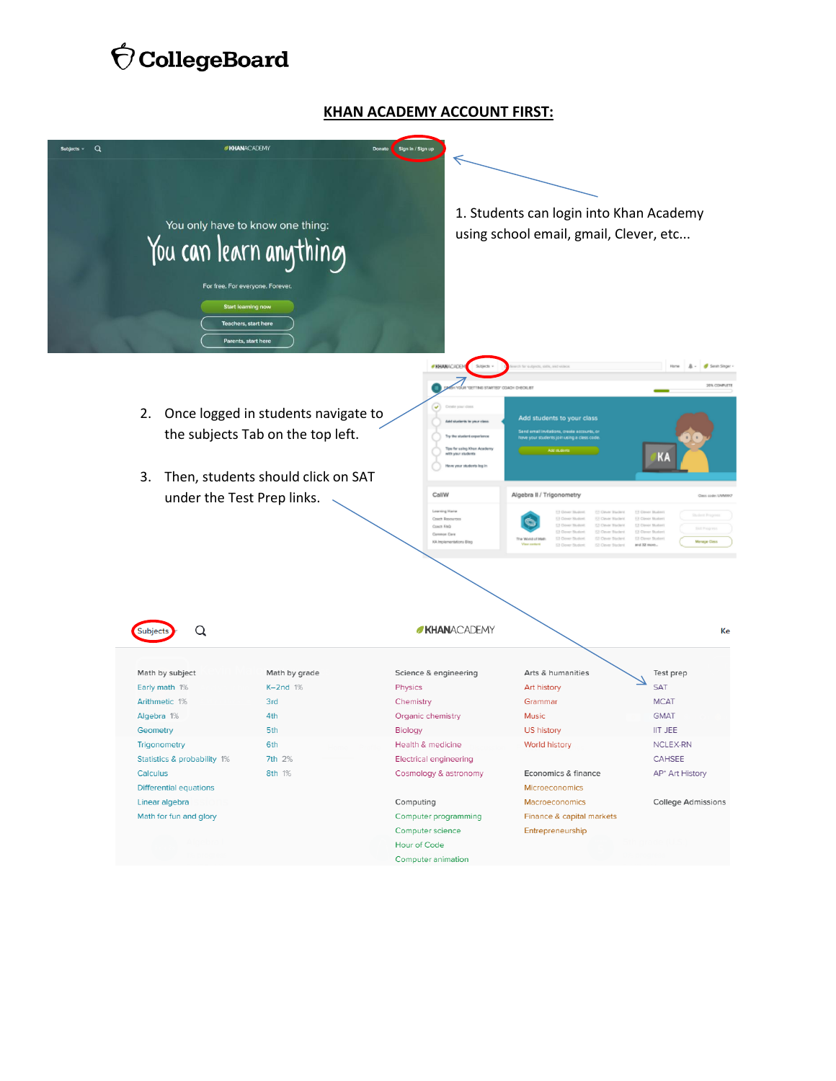# $\acute{\nabla}$  CollegeBoard

#### **KHAN ACADEMY ACCOUNT FIRST:**

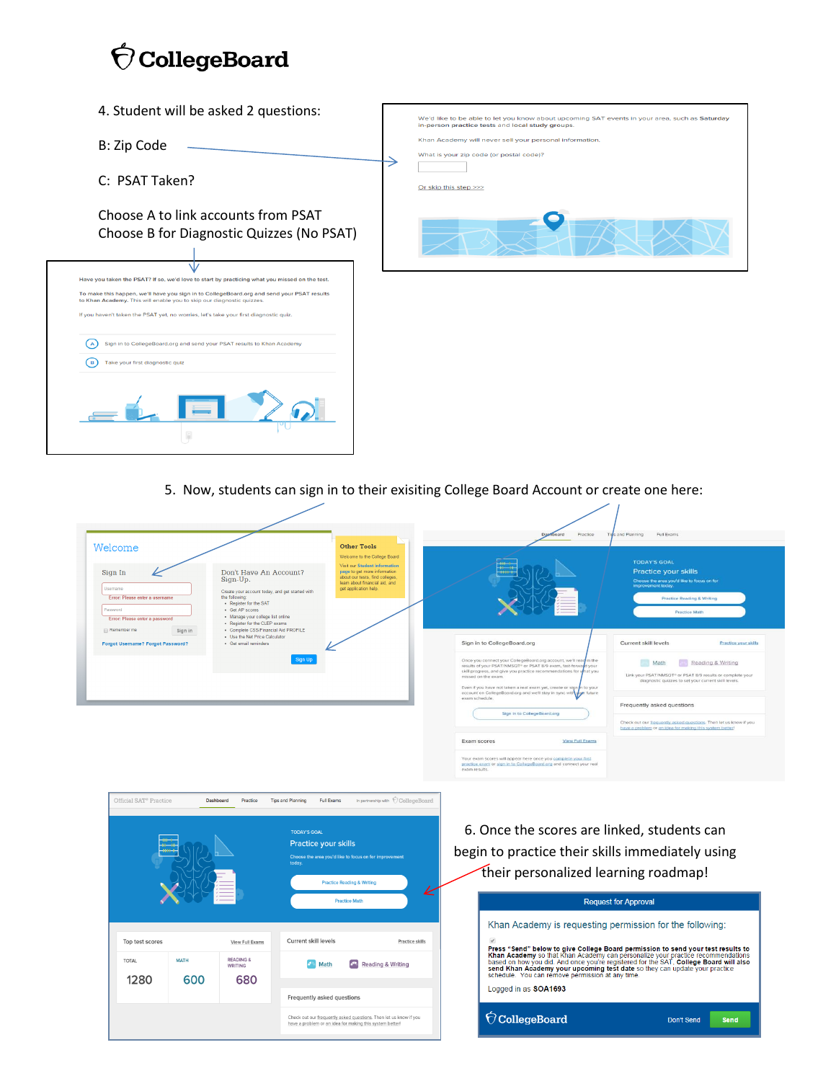# $\acute{\nabla}$  CollegeBoard

- 4. Student will be asked 2 questions:
- B: Zip Code
- C: PSAT Taken?

Choose A to link accounts from PSAT Choose B for Diagnostic Quizzes (No PSAT)

|                                 | Have you taken the PSAT? If so, we'd love to start by practicing what you missed on the test.                                                                       |
|---------------------------------|---------------------------------------------------------------------------------------------------------------------------------------------------------------------|
|                                 | To make this happen, we'll have you sign in to CollegeBoard.org and send your PSAT results<br>to Khan Academy. This will enable you to skip our diagnostic quizzes. |
|                                 | If you haven't taken the PSAT yet, no worries, let's take your first diagnostic quiz.                                                                               |
|                                 | Sign in to CollegeBoard.org and send your PSAT results to Khan Academy                                                                                              |
| Take your first diagnostic quiz |                                                                                                                                                                     |
|                                 |                                                                                                                                                                     |
|                                 |                                                                                                                                                                     |
|                                 |                                                                                                                                                                     |

 $\mathbf{L}$ 



5. Now, students can sign in to their exisiting College Board Account or create one here:

| Welcome                                                                                                                                                                                                                                                                                                 | <b>Other Tools</b><br>Welcome to the College Board                                                                                                          |                                                                                                                                                                                                                                                                                                            | <b>TODAY'S GOAL</b>                                                                                                                                       |
|---------------------------------------------------------------------------------------------------------------------------------------------------------------------------------------------------------------------------------------------------------------------------------------------------------|-------------------------------------------------------------------------------------------------------------------------------------------------------------|------------------------------------------------------------------------------------------------------------------------------------------------------------------------------------------------------------------------------------------------------------------------------------------------------------|-----------------------------------------------------------------------------------------------------------------------------------------------------------|
| Don't Have An Account?<br>Sign In<br>Sign-Up.<br><b>Username</b><br>Create your account today, and get started with<br>the following:<br>Error: Please enter a username<br>- Register for the SAT<br>Password<br>· Get AP scores<br>· Manage your college list online<br>Error: Please enter a password | Visit our Student Information<br>page to get more information<br>about our tests, find colleges,<br>learn about financial aid, and<br>get application help. |                                                                                                                                                                                                                                                                                                            | Practice your skills<br>Choose the area you'd like to focus on for<br>improvement today.<br><b>Practice Reading &amp; Writing</b><br><b>Practice Math</b> |
| . Register for the CLEP exams<br>· Complete CSS/Financial Aid PROFILE<br>Remember me<br>Sign in<br>. Use the Net Price Calculator<br>· Get email reminders<br><b>Forgot Username? Forgot Password?</b>                                                                                                  |                                                                                                                                                             | Sign in to CollegeBoard.org                                                                                                                                                                                                                                                                                | Current skill levels<br>Practice your skills                                                                                                              |
|                                                                                                                                                                                                                                                                                                         | Sign Up                                                                                                                                                     | Once you connect your CollegeBoard.org account, we'll read in the<br>results of your PSAT/NMSQT® or PSAT 8/9 exam, fast-forward your<br>skill progress, and give you practice recommendations for what you<br>missed on the exam.<br>Even if you have not taken a real exam yet, create or sign in to your | Reading & Writing<br>Math<br>Link your PSAT/NMSQT® or PSAT 8/9 results or complete your<br>diagnostic quizzes to set your current skill levels.           |
|                                                                                                                                                                                                                                                                                                         |                                                                                                                                                             | account on CollegeBoard.org and we'll stay in sync with your future<br>exam schedule.<br>Sign in to CollegeBoard.org                                                                                                                                                                                       | Frequently asked questions                                                                                                                                |
|                                                                                                                                                                                                                                                                                                         |                                                                                                                                                             |                                                                                                                                                                                                                                                                                                            | Check out our frequently asked questions. Then let us know if you<br>have a problem or an idea for making this system better                              |



6. Once the scores are linked, students can begin to practice their skills immediately using their personalized learning roadmap!

 $\overline{\phantom{a}}$ 

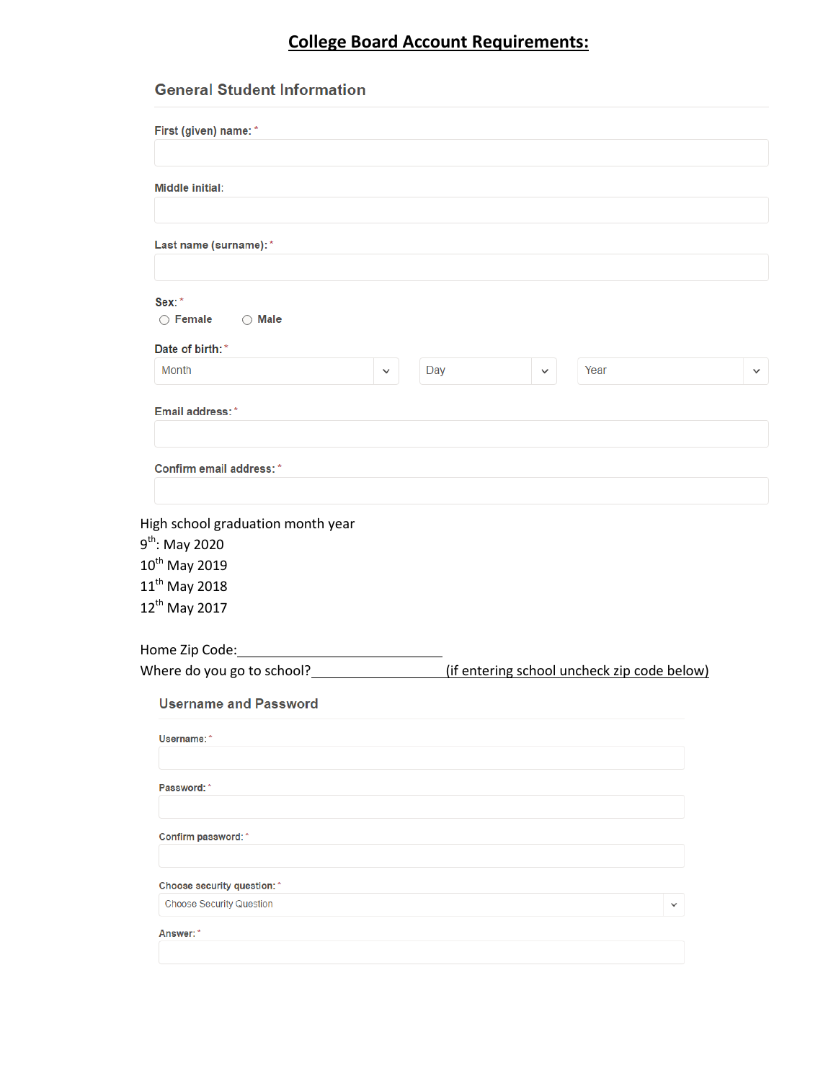## **College Board Account Requirements:**

### **General Student Information**

| First (given) name: *                                                                                                                                  |  |     |              |                                             |              |
|--------------------------------------------------------------------------------------------------------------------------------------------------------|--|-----|--------------|---------------------------------------------|--------------|
| <b>Middle initial:</b>                                                                                                                                 |  |     |              |                                             |              |
| Last name (surname): *                                                                                                                                 |  |     |              |                                             |              |
| Sex:*<br>$\bigcirc$ Female<br>$\bigcirc$ Male                                                                                                          |  |     |              |                                             |              |
| Date of birth: *                                                                                                                                       |  |     |              |                                             |              |
| Month                                                                                                                                                  |  | Day | $\checkmark$ | Year                                        | $\checkmark$ |
| Email address:*                                                                                                                                        |  |     |              |                                             |              |
| Confirm email address: *                                                                                                                               |  |     |              |                                             |              |
| High school graduation month year<br>$9^{\text{th}}$ : May 2020<br>$10^{\text{th}}$ May 2019<br>$11^{\text{th}}$ May 2018<br>12 <sup>th</sup> May 2017 |  |     |              |                                             |              |
| Home Zip Code:                                                                                                                                         |  |     |              |                                             |              |
|                                                                                                                                                        |  |     |              | (if entering school uncheck zip code below) |              |
| <b>Username and Password</b>                                                                                                                           |  |     |              |                                             |              |
| Username:*                                                                                                                                             |  |     |              |                                             |              |
| Password:*                                                                                                                                             |  |     |              |                                             |              |
| Confirm password:*                                                                                                                                     |  |     |              |                                             |              |
|                                                                                                                                                        |  |     |              |                                             |              |
| Choose security question: *                                                                                                                            |  |     |              |                                             |              |
| <b>Choose Security Question</b>                                                                                                                        |  |     |              | $\checkmark$                                |              |